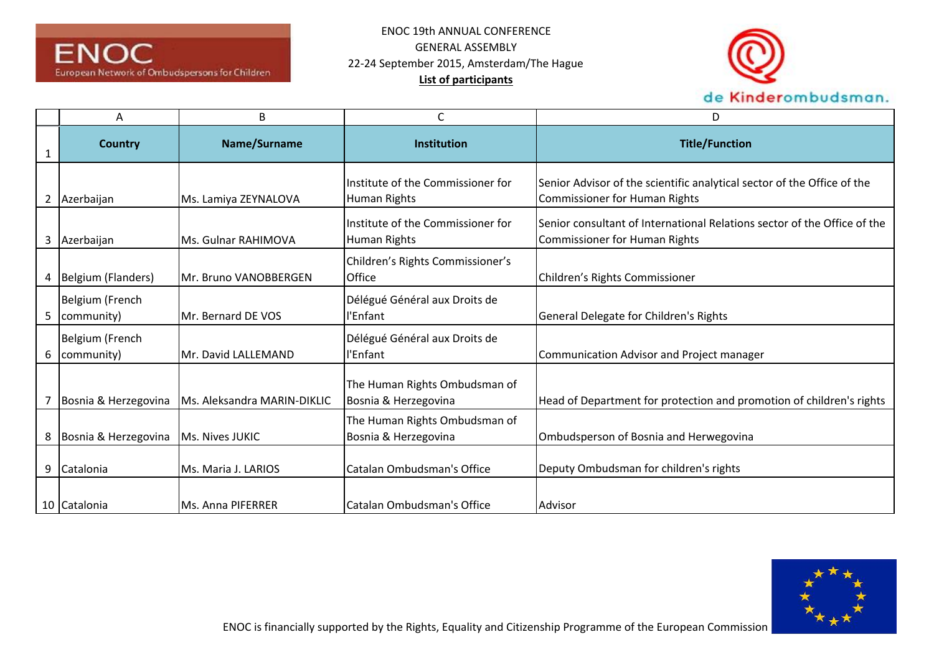



|   | Α                             | B                           | С                                                     | D                                                                                                         |
|---|-------------------------------|-----------------------------|-------------------------------------------------------|-----------------------------------------------------------------------------------------------------------|
|   | <b>Country</b>                | Name/Surname                | Institution                                           | <b>Title/Function</b>                                                                                     |
| 2 | Azerbaijan                    | Ms. Lamiya ZEYNALOVA        | Institute of the Commissioner for<br>Human Rights     | Senior Advisor of the scientific analytical sector of the Office of the<br>Commissioner for Human Rights  |
| 3 | Azerbaijan                    | Ms. Gulnar RAHIMOVA         | Institute of the Commissioner for<br>Human Rights     | Senior consultant of International Relations sector of the Office of the<br>Commissioner for Human Rights |
| 4 | Belgium (Flanders)            | Mr. Bruno VANOBBERGEN       | Children's Rights Commissioner's<br><b>Office</b>     | Children's Rights Commissioner                                                                            |
| 5 | Belgium (French<br>community) | Mr. Bernard DE VOS          | Délégué Général aux Droits de<br>l'Enfant             | General Delegate for Children's Rights                                                                    |
| 6 | Belgium (French<br>community) | Mr. David LALLEMAND         | Délégué Général aux Droits de<br>l'Enfant             | Communication Advisor and Project manager                                                                 |
|   | Bosnia & Herzegovina          | Ms. Aleksandra MARIN-DIKLIC | The Human Rights Ombudsman of<br>Bosnia & Herzegovina | Head of Department for protection and promotion of children's rights                                      |
| 8 | Bosnia & Herzegovina          | Ms. Nives JUKIC             | The Human Rights Ombudsman of<br>Bosnia & Herzegovina | Ombudsperson of Bosnia and Herwegovina                                                                    |
| 9 | Catalonia                     | Ms. Maria J. LARIOS         | Catalan Ombudsman's Office                            | Deputy Ombudsman for children's rights                                                                    |
|   | 10 Catalonia                  | Ms. Anna PIFERRER           | Catalan Ombudsman's Office                            | Advisor                                                                                                   |

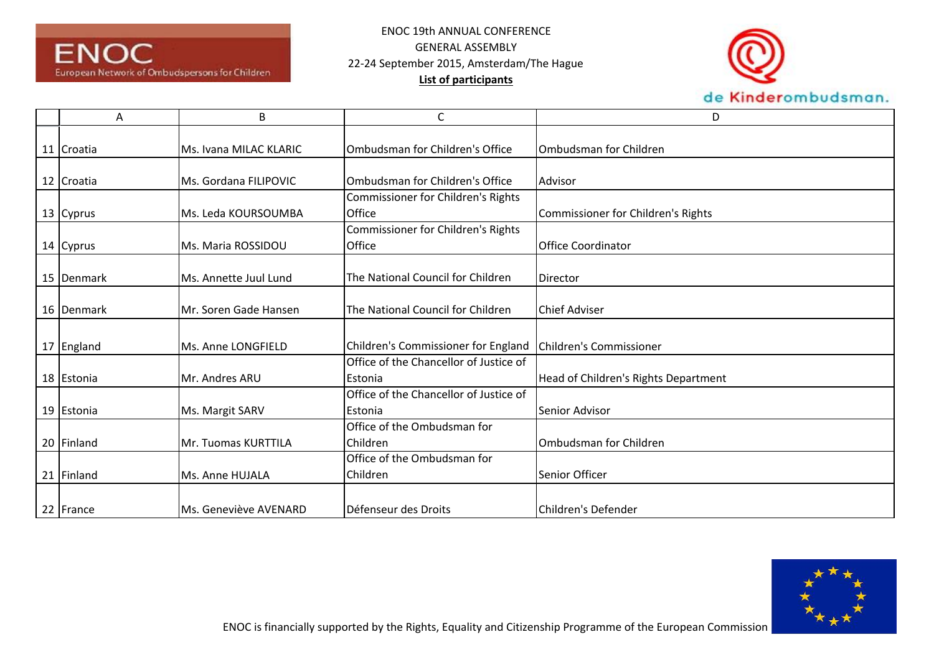



| Α          | B                      | C                                      | D                                         |
|------------|------------------------|----------------------------------------|-------------------------------------------|
|            |                        |                                        |                                           |
| 11 Croatia | Ms. Ivana MILAC KLARIC | Ombudsman for Children's Office        | Ombudsman for Children                    |
|            |                        |                                        |                                           |
| 12 Croatia | Ms. Gordana FILIPOVIC  | Ombudsman for Children's Office        | Advisor                                   |
|            |                        | Commissioner for Children's Rights     |                                           |
| 13 Cyprus  | Ms. Leda KOURSOUMBA    | <b>Office</b>                          | <b>Commissioner for Children's Rights</b> |
|            |                        | Commissioner for Children's Rights     |                                           |
| 14 Cyprus  | Ms. Maria ROSSIDOU     | <b>Office</b>                          | <b>Office Coordinator</b>                 |
|            |                        |                                        |                                           |
| 15 Denmark | Ms. Annette Juul Lund  | The National Council for Children      | Director                                  |
|            |                        |                                        |                                           |
| 16 Denmark | Mr. Soren Gade Hansen  | The National Council for Children      | <b>Chief Adviser</b>                      |
|            |                        |                                        |                                           |
| 17 England | Ms. Anne LONGFIELD     | Children's Commissioner for England    | Children's Commissioner                   |
|            |                        | Office of the Chancellor of Justice of |                                           |
| 18 Estonia | Mr. Andres ARU         | <b>Estonia</b>                         | Head of Children's Rights Department      |
|            |                        | Office of the Chancellor of Justice of |                                           |
| 19 Estonia | Ms. Margit SARV        | <b>Estonia</b>                         | Senior Advisor                            |
|            |                        | Office of the Ombudsman for            |                                           |
| 20 Finland | Mr. Tuomas KURTTILA    | Children                               | Ombudsman for Children                    |
|            |                        | Office of the Ombudsman for            |                                           |
| 21 Finland | Ms. Anne HUJALA        | Children                               | Senior Officer                            |
|            |                        |                                        |                                           |
| 22 France  | Ms. Geneviève AVENARD  | Défenseur des Droits                   | Children's Defender                       |

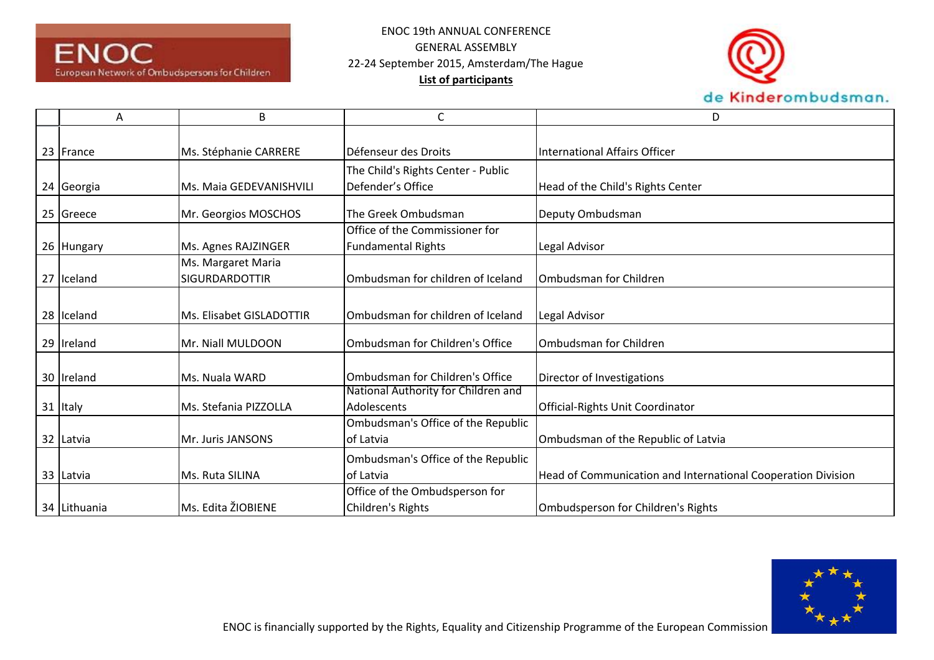



| Α            | B                        | С                                   | D                                                            |
|--------------|--------------------------|-------------------------------------|--------------------------------------------------------------|
|              |                          |                                     |                                                              |
| 23 France    | Ms. Stéphanie CARRERE    | Défenseur des Droits                | International Affairs Officer                                |
|              |                          | The Child's Rights Center - Public  |                                                              |
| 24 Georgia   | Ms. Maia GEDEVANISHVILI  | Defender's Office                   | Head of the Child's Rights Center                            |
| 25 Greece    | Mr. Georgios MOSCHOS     | The Greek Ombudsman                 | Deputy Ombudsman                                             |
|              |                          | Office of the Commissioner for      |                                                              |
| 26 Hungary   | Ms. Agnes RAJZINGER      | <b>Fundamental Rights</b>           | Legal Advisor                                                |
|              | Ms. Margaret Maria       |                                     |                                                              |
| 27 Iceland   | <b>SIGURDARDOTTIR</b>    | Ombudsman for children of Iceland   | Ombudsman for Children                                       |
|              |                          |                                     |                                                              |
| 28 Iceland   | Ms. Elisabet GISLADOTTIR | Ombudsman for children of Iceland   | Legal Advisor                                                |
| 29 Ireland   | Mr. Niall MULDOON        | Ombudsman for Children's Office     | Ombudsman for Children                                       |
|              |                          |                                     |                                                              |
| 30 Ireland   | Ms. Nuala WARD           | Ombudsman for Children's Office     | Director of Investigations                                   |
|              |                          | National Authority for Children and |                                                              |
| 31 Italy     | Ms. Stefania PIZZOLLA    | Adolescents                         | <b>Official-Rights Unit Coordinator</b>                      |
|              |                          | Ombudsman's Office of the Republic  |                                                              |
| 32 Latvia    | Mr. Juris JANSONS        | lof Latvia                          | Ombudsman of the Republic of Latvia                          |
|              |                          | Ombudsman's Office of the Republic  |                                                              |
| 33 Latvia    | Ms. Ruta SILINA          | of Latvia                           | Head of Communication and International Cooperation Division |
|              |                          | Office of the Ombudsperson for      |                                                              |
| 34 Lithuania | Ms. Edita ŽIOBIENE       | Children's Rights                   | Ombudsperson for Children's Rights                           |

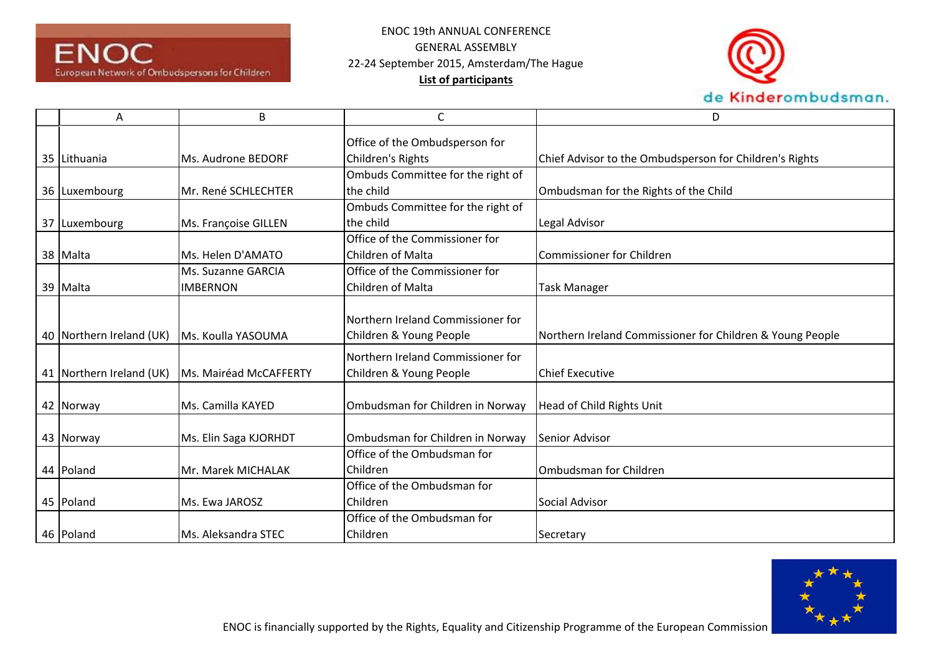



| A                        | B                      | C                                                            | D                                                         |
|--------------------------|------------------------|--------------------------------------------------------------|-----------------------------------------------------------|
|                          |                        | Office of the Ombudsperson for                               |                                                           |
| 35 Lithuania             | Ms. Audrone BEDORF     | Children's Rights                                            | Chief Advisor to the Ombudsperson for Children's Rights   |
|                          |                        | Ombuds Committee for the right of                            |                                                           |
| 36 Luxembourg            | Mr. René SCHLECHTER    | the child                                                    | Ombudsman for the Rights of the Child                     |
|                          |                        | Ombuds Committee for the right of                            |                                                           |
| 37 Luxembourg            | Ms. Françoise GILLEN   | the child                                                    | Legal Advisor                                             |
|                          |                        | Office of the Commissioner for                               |                                                           |
| 38 Malta                 | Ms. Helen D'AMATO      | Children of Malta                                            | Commissioner for Children                                 |
|                          | Ms. Suzanne GARCIA     | Office of the Commissioner for                               |                                                           |
| 39 Malta                 | <b>IMBERNON</b>        | Children of Malta                                            | <b>Task Manager</b>                                       |
| 40 Northern Ireland (UK) | Ms. Koulla YASOUMA     | Northern Ireland Commissioner for<br>Children & Young People | Northern Ireland Commissioner for Children & Young People |
|                          |                        | Northern Ireland Commissioner for                            |                                                           |
| 41 Northern Ireland (UK) | Ms. Mairéad McCAFFERTY | Children & Young People                                      | <b>Chief Executive</b>                                    |
| 42 Norway                | Ms. Camilla KAYED      | Ombudsman for Children in Norway                             | Head of Child Rights Unit                                 |
| 43 Norway                | Ms. Elin Saga KJORHDT  | Ombudsman for Children in Norway                             | <b>Senior Advisor</b>                                     |
|                          |                        | Office of the Ombudsman for                                  |                                                           |
| 44 Poland                | Mr. Marek MICHALAK     | Children                                                     | <b>Ombudsman for Children</b>                             |
|                          |                        | Office of the Ombudsman for                                  |                                                           |
| 45 Poland                | Ms. Ewa JAROSZ         | Children                                                     | Social Advisor                                            |
|                          |                        | Office of the Ombudsman for                                  |                                                           |
| 46 Poland                | Ms. Aleksandra STEC    | Children                                                     | Secretary                                                 |

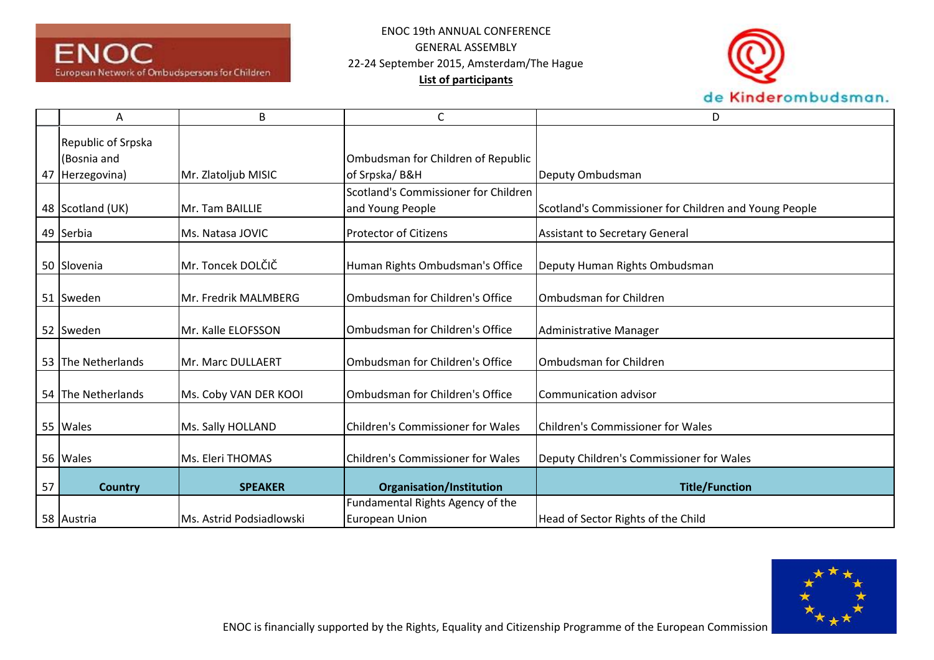



|    | Α                                                    | B                        | С                                                         | D                                                     |
|----|------------------------------------------------------|--------------------------|-----------------------------------------------------------|-------------------------------------------------------|
|    | Republic of Srpska<br>(Bosnia and<br>47 Herzegovina) | Mr. Zlatoljub MISIC      | Ombudsman for Children of Republic<br>of Srpska/B&H       | Deputy Ombudsman                                      |
|    | 48 Scotland (UK)                                     | Mr. Tam BAILLIE          | Scotland's Commissioner for Children<br>and Young People  | Scotland's Commissioner for Children and Young People |
|    | 49 Serbia                                            | Ms. Natasa JOVIC         | <b>Protector of Citizens</b>                              | <b>Assistant to Secretary General</b>                 |
|    | 50 Slovenia                                          | Mr. Toncek DOLČIČ        | Human Rights Ombudsman's Office                           | Deputy Human Rights Ombudsman                         |
|    | 51 Sweden                                            | Mr. Fredrik MALMBERG     | Ombudsman for Children's Office                           | Ombudsman for Children                                |
|    | 52 Sweden                                            | Mr. Kalle ELOFSSON       | Ombudsman for Children's Office                           | Administrative Manager                                |
|    | 53 The Netherlands                                   | Mr. Marc DULLAERT        | Ombudsman for Children's Office                           | Ombudsman for Children                                |
|    | 54 The Netherlands                                   | Ms. Coby VAN DER KOOI    | Ombudsman for Children's Office                           | Communication advisor                                 |
|    | 55 Wales                                             | Ms. Sally HOLLAND        | Children's Commissioner for Wales                         | Children's Commissioner for Wales                     |
|    | 56 Wales                                             | Ms. Eleri THOMAS         | Children's Commissioner for Wales                         | Deputy Children's Commissioner for Wales              |
| 57 | <b>Country</b>                                       | <b>SPEAKER</b>           | <b>Organisation/Institution</b>                           | <b>Title/Function</b>                                 |
|    | 58 Austria                                           | Ms. Astrid Podsiadlowski | Fundamental Rights Agency of the<br><b>European Union</b> | Head of Sector Rights of the Child                    |

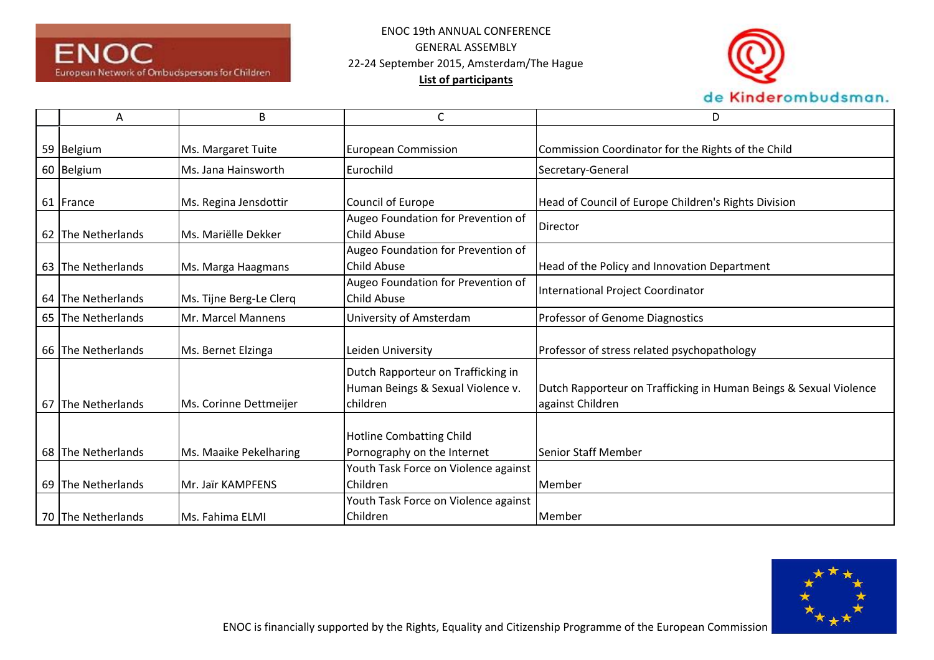



| A                  | B                       | C                                                                                   | D                                                                                     |
|--------------------|-------------------------|-------------------------------------------------------------------------------------|---------------------------------------------------------------------------------------|
| 59 Belgium         | Ms. Margaret Tuite      | <b>European Commission</b>                                                          | Commission Coordinator for the Rights of the Child                                    |
| 60 Belgium         | Ms. Jana Hainsworth     | Eurochild                                                                           | Secretary-General                                                                     |
| 61 France          | Ms. Regina Jensdottir   | Council of Europe                                                                   | Head of Council of Europe Children's Rights Division                                  |
| 62 The Netherlands | Ms. Mariëlle Dekker     | Augeo Foundation for Prevention of<br>Child Abuse                                   | Director                                                                              |
| 63 The Netherlands | Ms. Marga Haagmans      | Augeo Foundation for Prevention of<br>Child Abuse                                   | Head of the Policy and Innovation Department                                          |
| 64 The Netherlands | Ms. Tijne Berg-Le Clerq | Augeo Foundation for Prevention of<br>Child Abuse                                   | International Project Coordinator                                                     |
| 65 The Netherlands | Mr. Marcel Mannens      | University of Amsterdam                                                             | Professor of Genome Diagnostics                                                       |
| 66 The Netherlands | Ms. Bernet Elzinga      | Leiden University                                                                   | Professor of stress related psychopathology                                           |
| 67 The Netherlands | Ms. Corinne Dettmeijer  | Dutch Rapporteur on Trafficking in<br>Human Beings & Sexual Violence v.<br>children | Dutch Rapporteur on Trafficking in Human Beings & Sexual Violence<br>against Children |
| 68 The Netherlands | Ms. Maaike Pekelharing  | <b>Hotline Combatting Child</b><br>Pornography on the Internet                      | <b>Senior Staff Member</b>                                                            |
| 69 The Netherlands | Mr. Jaïr KAMPFENS       | Youth Task Force on Violence against<br>Children                                    | Member                                                                                |
| 70 The Netherlands | <b>Ms. Fahima ELMI</b>  | Youth Task Force on Violence against<br>Children                                    | <b>Member</b>                                                                         |

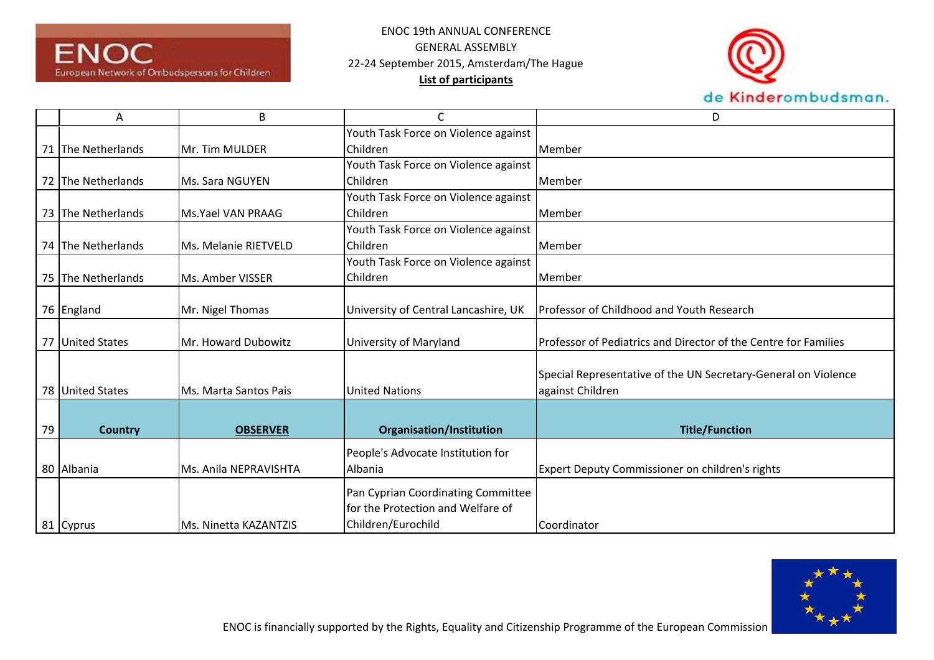



|    | A                  | B                     | C                                    | D                                                               |
|----|--------------------|-----------------------|--------------------------------------|-----------------------------------------------------------------|
|    |                    |                       | Youth Task Force on Violence against |                                                                 |
|    | 71 The Netherlands | Mr. Tim MULDER        | Children                             | Member                                                          |
|    |                    |                       | Youth Task Force on Violence against |                                                                 |
|    | 72 The Netherlands | Ms. Sara NGUYEN       | Children                             | Member                                                          |
|    |                    |                       | Youth Task Force on Violence against |                                                                 |
|    | 73 The Netherlands | Ms.Yael VAN PRAAG     | Children                             | Member                                                          |
|    |                    |                       | Youth Task Force on Violence against |                                                                 |
|    | 74 The Netherlands | Ms. Melanie RIETVELD  | Children                             | Member                                                          |
|    |                    |                       | Youth Task Force on Violence against |                                                                 |
|    | 75 The Netherlands | Ms. Amber VISSER      | Children                             | Member                                                          |
|    |                    |                       |                                      |                                                                 |
|    | 76 England         | Mr. Nigel Thomas      | University of Central Lancashire, UK | Professor of Childhood and Youth Research                       |
|    |                    |                       |                                      |                                                                 |
|    | 77 United States   | Mr. Howard Dubowitz   | University of Maryland               | Professor of Pediatrics and Director of the Centre for Families |
|    |                    |                       |                                      |                                                                 |
|    |                    |                       |                                      | Special Representative of the UN Secretary-General on Violence  |
|    | 78 United States   | Ms. Marta Santos Pais | <b>United Nations</b>                | against Children                                                |
|    |                    |                       |                                      |                                                                 |
| 79 | <b>Country</b>     | <b>OBSERVER</b>       | <b>Organisation/Institution</b>      | <b>Title/Function</b>                                           |
|    |                    |                       |                                      |                                                                 |
|    |                    |                       | People's Advocate Institution for    |                                                                 |
|    | 80 Albania         | Ms. Anila NEPRAVISHTA | Albania                              | Expert Deputy Commissioner on children's rights                 |
|    |                    |                       | Pan Cyprian Coordinating Committee   |                                                                 |
|    |                    |                       | for the Protection and Welfare of    |                                                                 |
|    | 81 Cyprus          | Ms. Ninetta KAZANTZIS | Children/Eurochild                   | Coordinator                                                     |

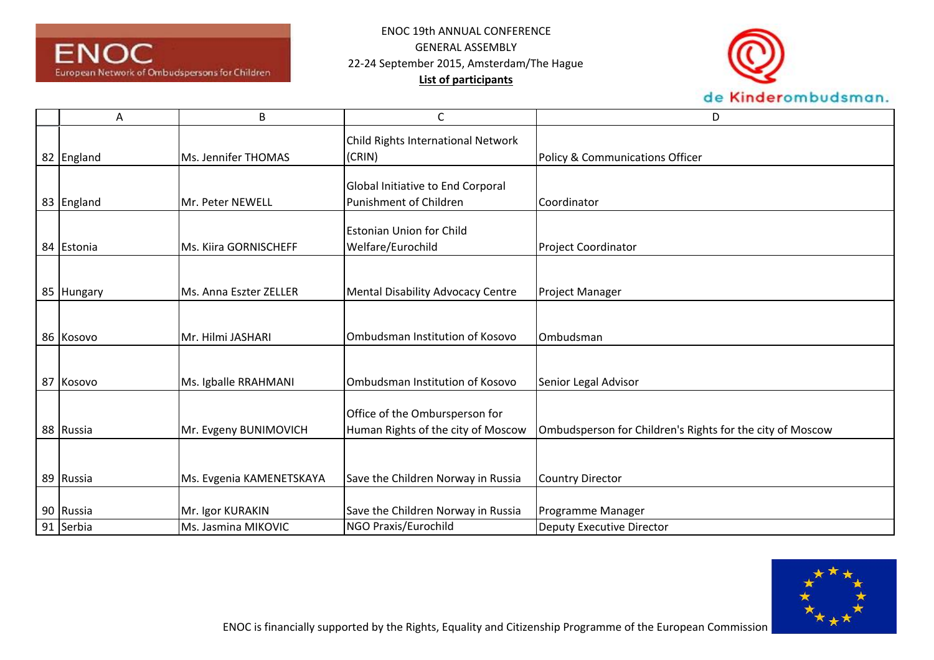



| Α          | B                        | C                                        | D                                                         |
|------------|--------------------------|------------------------------------------|-----------------------------------------------------------|
|            |                          | Child Rights International Network       |                                                           |
| 82 England | Ms. Jennifer THOMAS      | (CRIN)                                   | Policy & Communications Officer                           |
|            |                          |                                          |                                                           |
|            |                          | Global Initiative to End Corporal        |                                                           |
| 83 England | Mr. Peter NEWELL         | Punishment of Children                   | Coordinator                                               |
|            |                          | <b>Estonian Union for Child</b>          |                                                           |
| 84 Estonia | Ms. Kiira GORNISCHEFF    | Welfare/Eurochild                        | <b>Project Coordinator</b>                                |
|            |                          |                                          |                                                           |
|            |                          |                                          |                                                           |
| 85 Hungary | Ms. Anna Eszter ZELLER   | <b>Mental Disability Advocacy Centre</b> | <b>Project Manager</b>                                    |
|            |                          |                                          |                                                           |
|            |                          |                                          |                                                           |
| 86 Kosovo  | Mr. Hilmi JASHARI        | Ombudsman Institution of Kosovo          | Ombudsman                                                 |
|            |                          |                                          |                                                           |
| 87 Kosovo  |                          | Ombudsman Institution of Kosovo          |                                                           |
|            | Ms. Igballe RRAHMANI     |                                          | Senior Legal Advisor                                      |
|            |                          | Office of the Ombursperson for           |                                                           |
|            |                          |                                          |                                                           |
| 88 Russia  | Mr. Evgeny BUNIMOVICH    | Human Rights of the city of Moscow       | Ombudsperson for Children's Rights for the city of Moscow |
|            |                          |                                          |                                                           |
|            |                          |                                          |                                                           |
| 89 Russia  | Ms. Evgenia KAMENETSKAYA | Save the Children Norway in Russia       | <b>Country Director</b>                                   |
|            |                          |                                          |                                                           |
| 90 Russia  | Mr. Igor KURAKIN         | Save the Children Norway in Russia       | Programme Manager                                         |
| 91 Serbia  | Ms. Jasmina MIKOVIC      | NGO Praxis/Eurochild                     | Deputy Executive Director                                 |

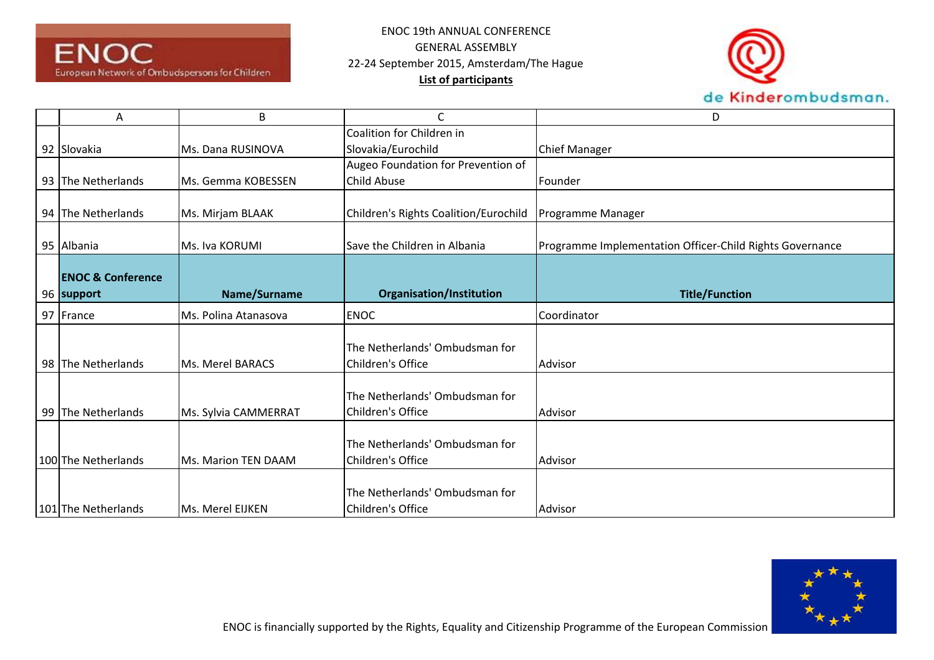



| Α                            | B                       | C                                     | D                                                        |
|------------------------------|-------------------------|---------------------------------------|----------------------------------------------------------|
|                              |                         | Coalition for Children in             |                                                          |
| 92 Slovakia                  | Ms. Dana RUSINOVA       | Slovakia/Eurochild                    | <b>Chief Manager</b>                                     |
|                              |                         | Augeo Foundation for Prevention of    |                                                          |
| 93 The Netherlands           | Ms. Gemma KOBESSEN      | <b>Child Abuse</b>                    | Founder                                                  |
|                              |                         |                                       |                                                          |
| 94 The Netherlands           | Ms. Mirjam BLAAK        | Children's Rights Coalition/Eurochild | Programme Manager                                        |
| 95 Albania                   | Ms. Iva KORUMI          | Save the Children in Albania          | Programme Implementation Officer-Child Rights Governance |
|                              |                         |                                       |                                                          |
| <b>ENOC &amp; Conference</b> |                         |                                       | <b>Title/Function</b>                                    |
| 96 support                   | Name/Surname            | <b>Organisation/Institution</b>       |                                                          |
| 97 France                    | Ms. Polina Atanasova    | <b>ENOC</b>                           | Coordinator                                              |
|                              |                         |                                       |                                                          |
|                              |                         | The Netherlands' Ombudsman for        |                                                          |
| 98 The Netherlands           | <b>Ms. Merel BARACS</b> | Children's Office                     | Advisor                                                  |
|                              |                         | The Netherlands' Ombudsman for        |                                                          |
| 99 The Netherlands           | Ms. Sylvia CAMMERRAT    | Children's Office                     | Advisor                                                  |
|                              |                         |                                       |                                                          |
|                              |                         | The Netherlands' Ombudsman for        |                                                          |
| 100 The Netherlands          | Ms. Marion TEN DAAM     | Children's Office                     | Advisor                                                  |
|                              |                         |                                       |                                                          |
|                              |                         | The Netherlands' Ombudsman for        |                                                          |
| 101 The Netherlands          | Ms. Merel EIJKEN        | Children's Office                     | Advisor                                                  |